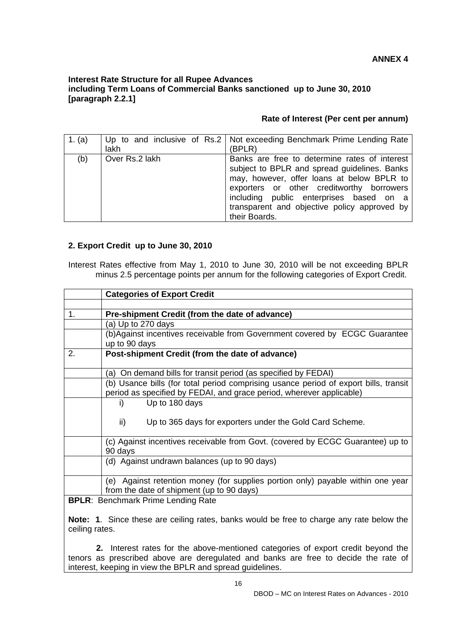## **Interest Rate Structure for all Rupee Advances including Term Loans of Commercial Banks sanctioned up to June 30, 2010 [paragraph 2.2.1]**

## **Rate of Interest (Per cent per annum)**

| 1. $(a)$ | lakh           | Up to and inclusive of Rs.2   Not exceeding Benchmark Prime Lending Rate<br>(BPLR)                                                                                                                                                                                                                   |
|----------|----------------|------------------------------------------------------------------------------------------------------------------------------------------------------------------------------------------------------------------------------------------------------------------------------------------------------|
| (b)      | Over Rs.2 lakh | Banks are free to determine rates of interest<br>subject to BPLR and spread guidelines. Banks<br>may, however, offer loans at below BPLR to<br>exporters or other creditworthy borrowers<br>including public enterprises based on a<br>transparent and objective policy approved by<br>their Boards. |

## **2. Export Credit up to June 30, 2010**

Interest Rates effective from May 1, 2010 to June 30, 2010 will be not exceeding BPLR minus 2.5 percentage points per annum for the following categories of Export Credit.

|                                           | <b>Categories of Export Credit</b>                                                   |  |  |
|-------------------------------------------|--------------------------------------------------------------------------------------|--|--|
|                                           |                                                                                      |  |  |
| $1_{-}$                                   | Pre-shipment Credit (from the date of advance)                                       |  |  |
|                                           | (a) Up to 270 days                                                                   |  |  |
|                                           | (b)Against incentives receivable from Government covered by ECGC Guarantee           |  |  |
|                                           | up to 90 days                                                                        |  |  |
| 2.                                        | Post-shipment Credit (from the date of advance)                                      |  |  |
|                                           |                                                                                      |  |  |
|                                           | (a) On demand bills for transit period (as specified by FEDAI)                       |  |  |
|                                           | (b) Usance bills (for total period comprising usance period of export bills, transit |  |  |
|                                           | period as specified by FEDAI, and grace period, wherever applicable)                 |  |  |
|                                           | Up to 180 days<br>i)                                                                 |  |  |
|                                           |                                                                                      |  |  |
|                                           | $\mathsf{ii}$<br>Up to 365 days for exporters under the Gold Card Scheme.            |  |  |
|                                           |                                                                                      |  |  |
|                                           | (c) Against incentives receivable from Govt. (covered by ECGC Guarantee) up to       |  |  |
|                                           | 90 days                                                                              |  |  |
|                                           | (d) Against undrawn balances (up to 90 days)                                         |  |  |
|                                           |                                                                                      |  |  |
|                                           | (e) Against retention money (for supplies portion only) payable within one year      |  |  |
|                                           | from the date of shipment (up to 90 days)                                            |  |  |
| <b>BPLR: Benchmark Prime Lending Rate</b> |                                                                                      |  |  |

**Note: 1**. Since these are ceiling rates, banks would be free to charge any rate below the ceiling rates.

 **2.** Interest rates for the above-mentioned categories of export credit beyond the tenors as prescribed above are deregulated and banks are free to decide the rate of interest, keeping in view the BPLR and spread guidelines.